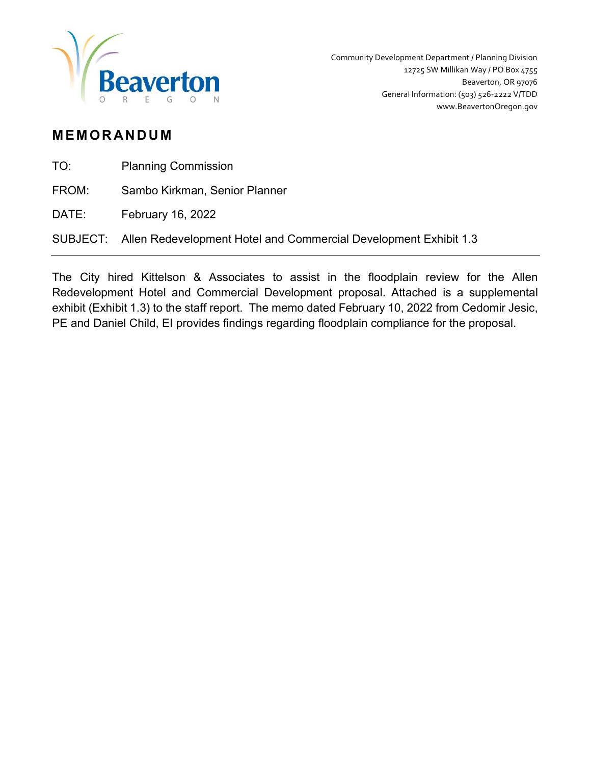

## **MEMORANDUM**

| TO: | <b>Planning Commission</b> |
|-----|----------------------------|
|-----|----------------------------|

FROM: Sambo Kirkman, Senior Planner

DATE: February 16, 2022

SUBJECT: Allen Redevelopment Hotel and Commercial Development Exhibit 1.3

The City hired Kittelson & Associates to assist in the floodplain review for the Allen Redevelopment Hotel and Commercial Development proposal. Attached is a supplemental exhibit (Exhibit 1.3) to the staff report. The memo dated February 10, 2022 from Cedomir Jesic, PE and Daniel Child, EI provides findings regarding floodplain compliance for the proposal.